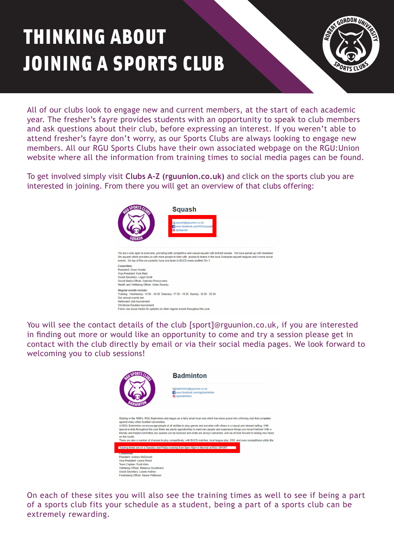## THINKING ABOUT JOINING A SPORTS CLUB



All of our clubs look to engage new and current members, at the start of each academic year. The fresher's fayre provides students with an opportunity to speak to club members and ask questions about their club, before expressing an interest. If you weren't able to attend fresher's fayre don't worry, as our Sports Clubs are always looking to engage new members. All our RGU Sports Clubs have their own associated webpage on the RGU:Union website where all the information from training times to social media pages can be found.

To get involved simply visit **[Clubs A-Z \(rguunion.co.uk\)](https://www.rguunion.co.uk/getinvolved/sport/a-z/)** and click on the sports club you are interested in joining. From there you will get an overview of that clubs offering:



You will see the contact details of the club [sport]@rguunion.co.uk, if you are interested in finding out more or would like an opportunity to come and try a session please get in contact with the club directly by email or via their social media pages. We look forward to welcoming you to club sessions!



On each of these sites you will also see the training times as well to see if being a part of a sports club fits your schedule as a student, being a part of a sports club can be extremely rewarding.